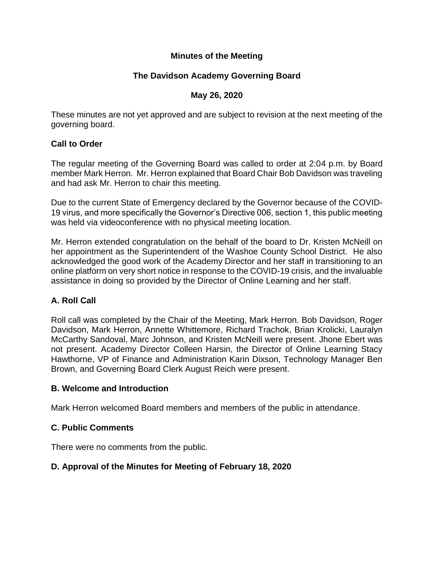## **Minutes of the Meeting**

# **The Davidson Academy Governing Board**

### **May 26, 2020**

These minutes are not yet approved and are subject to revision at the next meeting of the governing board.

### **Call to Order**

The regular meeting of the Governing Board was called to order at 2:04 p.m. by Board member Mark Herron. Mr. Herron explained that Board Chair Bob Davidson was traveling and had ask Mr. Herron to chair this meeting.

Due to the current State of Emergency declared by the Governor because of the COVID-19 virus, and more specifically the Governor's Directive 006, section 1, this public meeting was held via videoconference with no physical meeting location.

Mr. Herron extended congratulation on the behalf of the board to Dr. Kristen McNeill on her appointment as the Superintendent of the Washoe County School District. He also acknowledged the good work of the Academy Director and her staff in transitioning to an online platform on very short notice in response to the COVID-19 crisis, and the invaluable assistance in doing so provided by the Director of Online Learning and her staff.

## **A. Roll Call**

Roll call was completed by the Chair of the Meeting, Mark Herron. Bob Davidson, Roger Davidson, Mark Herron, Annette Whittemore, Richard Trachok, Brian Krolicki, Lauralyn McCarthy Sandoval, Marc Johnson, and Kristen McNeill were present. Jhone Ebert was not present. Academy Director Colleen Harsin, the Director of Online Learning Stacy Hawthorne, VP of Finance and Administration Karin Dixson, Technology Manager Ben Brown, and Governing Board Clerk August Reich were present.

#### **B. Welcome and Introduction**

Mark Herron welcomed Board members and members of the public in attendance.

## **C. Public Comments**

There were no comments from the public.

## **D. Approval of the Minutes for Meeting of February 18, 2020**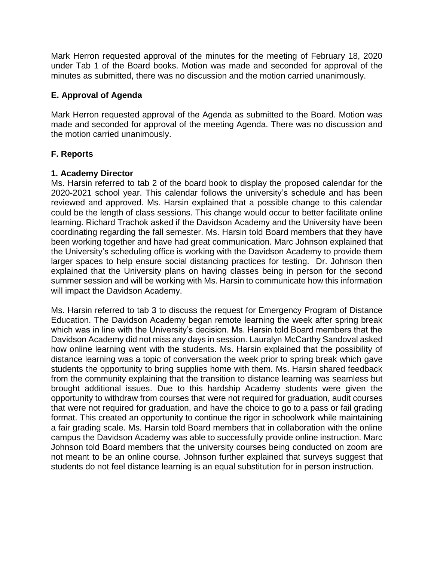Mark Herron requested approval of the minutes for the meeting of February 18, 2020 under Tab 1 of the Board books. Motion was made and seconded for approval of the minutes as submitted, there was no discussion and the motion carried unanimously.

### **E. Approval of Agenda**

Mark Herron requested approval of the Agenda as submitted to the Board. Motion was made and seconded for approval of the meeting Agenda. There was no discussion and the motion carried unanimously.

### **F. Reports**

#### **1. Academy Director**

Ms. Harsin referred to tab 2 of the board book to display the proposed calendar for the 2020-2021 school year. This calendar follows the university's schedule and has been reviewed and approved. Ms. Harsin explained that a possible change to this calendar could be the length of class sessions. This change would occur to better facilitate online learning. Richard Trachok asked if the Davidson Academy and the University have been coordinating regarding the fall semester. Ms. Harsin told Board members that they have been working together and have had great communication. Marc Johnson explained that the University's scheduling office is working with the Davidson Academy to provide them larger spaces to help ensure social distancing practices for testing. Dr. Johnson then explained that the University plans on having classes being in person for the second summer session and will be working with Ms. Harsin to communicate how this information will impact the Davidson Academy.

Ms. Harsin referred to tab 3 to discuss the request for Emergency Program of Distance Education. The Davidson Academy began remote learning the week after spring break which was in line with the University's decision. Ms. Harsin told Board members that the Davidson Academy did not miss any days in session. Lauralyn McCarthy Sandoval asked how online learning went with the students. Ms. Harsin explained that the possibility of distance learning was a topic of conversation the week prior to spring break which gave students the opportunity to bring supplies home with them. Ms. Harsin shared feedback from the community explaining that the transition to distance learning was seamless but brought additional issues. Due to this hardship Academy students were given the opportunity to withdraw from courses that were not required for graduation, audit courses that were not required for graduation, and have the choice to go to a pass or fail grading format. This created an opportunity to continue the rigor in schoolwork while maintaining a fair grading scale. Ms. Harsin told Board members that in collaboration with the online campus the Davidson Academy was able to successfully provide online instruction. Marc Johnson told Board members that the university courses being conducted on zoom are not meant to be an online course. Johnson further explained that surveys suggest that students do not feel distance learning is an equal substitution for in person instruction.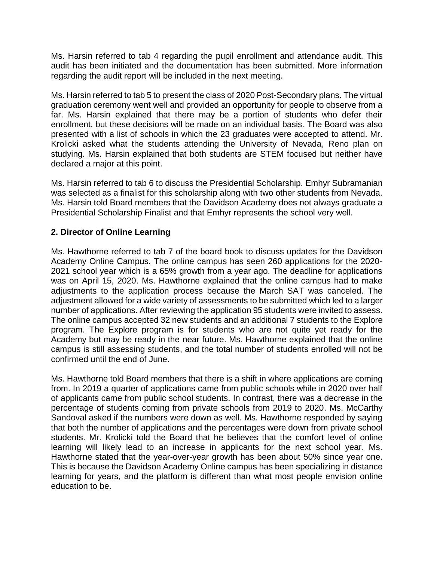Ms. Harsin referred to tab 4 regarding the pupil enrollment and attendance audit. This audit has been initiated and the documentation has been submitted. More information regarding the audit report will be included in the next meeting.

Ms. Harsin referred to tab 5 to present the class of 2020 Post-Secondary plans. The virtual graduation ceremony went well and provided an opportunity for people to observe from a far. Ms. Harsin explained that there may be a portion of students who defer their enrollment, but these decisions will be made on an individual basis. The Board was also presented with a list of schools in which the 23 graduates were accepted to attend. Mr. Krolicki asked what the students attending the University of Nevada, Reno plan on studying. Ms. Harsin explained that both students are STEM focused but neither have declared a major at this point.

Ms. Harsin referred to tab 6 to discuss the Presidential Scholarship. Emhyr Subramanian was selected as a finalist for this scholarship along with two other students from Nevada. Ms. Harsin told Board members that the Davidson Academy does not always graduate a Presidential Scholarship Finalist and that Emhyr represents the school very well.

## **2. Director of Online Learning**

Ms. Hawthorne referred to tab 7 of the board book to discuss updates for the Davidson Academy Online Campus. The online campus has seen 260 applications for the 2020- 2021 school year which is a 65% growth from a year ago. The deadline for applications was on April 15, 2020. Ms. Hawthorne explained that the online campus had to make adjustments to the application process because the March SAT was canceled. The adjustment allowed for a wide variety of assessments to be submitted which led to a larger number of applications. After reviewing the application 95 students were invited to assess. The online campus accepted 32 new students and an additional 7 students to the Explore program. The Explore program is for students who are not quite yet ready for the Academy but may be ready in the near future. Ms. Hawthorne explained that the online campus is still assessing students, and the total number of students enrolled will not be confirmed until the end of June.

Ms. Hawthorne told Board members that there is a shift in where applications are coming from. In 2019 a quarter of applications came from public schools while in 2020 over half of applicants came from public school students. In contrast, there was a decrease in the percentage of students coming from private schools from 2019 to 2020. Ms. McCarthy Sandoval asked if the numbers were down as well. Ms. Hawthorne responded by saying that both the number of applications and the percentages were down from private school students. Mr. Krolicki told the Board that he believes that the comfort level of online learning will likely lead to an increase in applicants for the next school year. Ms. Hawthorne stated that the year-over-year growth has been about 50% since year one. This is because the Davidson Academy Online campus has been specializing in distance learning for years, and the platform is different than what most people envision online education to be.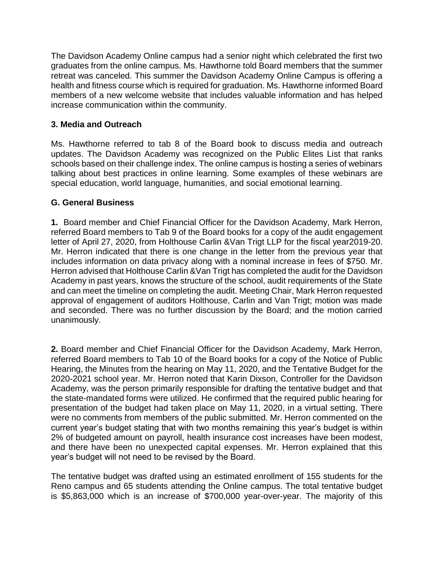The Davidson Academy Online campus had a senior night which celebrated the first two graduates from the online campus. Ms. Hawthorne told Board members that the summer retreat was canceled. This summer the Davidson Academy Online Campus is offering a health and fitness course which is required for graduation. Ms. Hawthorne informed Board members of a new welcome website that includes valuable information and has helped increase communication within the community.

### **3. Media and Outreach**

Ms. Hawthorne referred to tab 8 of the Board book to discuss media and outreach updates. The Davidson Academy was recognized on the Public Elites List that ranks schools based on their challenge index. The online campus is hosting a series of webinars talking about best practices in online learning. Some examples of these webinars are special education, world language, humanities, and social emotional learning.

### **G. General Business**

**1.** Board member and Chief Financial Officer for the Davidson Academy, Mark Herron, referred Board members to Tab 9 of the Board books for a copy of the audit engagement letter of April 27, 2020, from Holthouse Carlin &Van Trigt LLP for the fiscal year2019-20. Mr. Herron indicated that there is one change in the letter from the previous year that includes information on data privacy along with a nominal increase in fees of \$750. Mr. Herron advised that Holthouse Carlin &Van Trigt has completed the audit for the Davidson Academy in past years, knows the structure of the school, audit requirements of the State and can meet the timeline on completing the audit. Meeting Chair, Mark Herron requested approval of engagement of auditors Holthouse, Carlin and Van Trigt; motion was made and seconded. There was no further discussion by the Board; and the motion carried unanimously.

**2.** Board member and Chief Financial Officer for the Davidson Academy, Mark Herron, referred Board members to Tab 10 of the Board books for a copy of the Notice of Public Hearing, the Minutes from the hearing on May 11, 2020, and the Tentative Budget for the 2020-2021 school year. Mr. Herron noted that Karin Dixson, Controller for the Davidson Academy, was the person primarily responsible for drafting the tentative budget and that the state-mandated forms were utilized. He confirmed that the required public hearing for presentation of the budget had taken place on May 11, 2020, in a virtual setting. There were no comments from members of the public submitted. Mr. Herron commented on the current year's budget stating that with two months remaining this year's budget is within 2% of budgeted amount on payroll, health insurance cost increases have been modest, and there have been no unexpected capital expenses. Mr. Herron explained that this year's budget will not need to be revised by the Board.

The tentative budget was drafted using an estimated enrollment of 155 students for the Reno campus and 65 students attending the Online campus. The total tentative budget is \$5,863,000 which is an increase of \$700,000 year-over-year. The majority of this